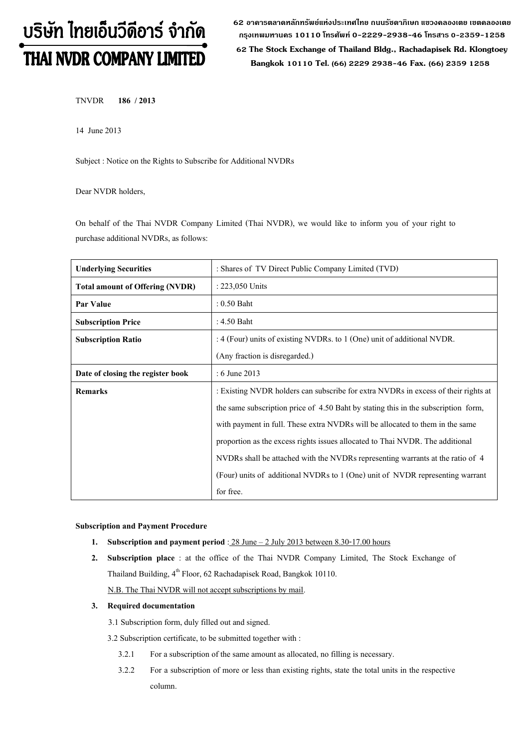# บริษัท ไทยเอ็นวีดีอาร์ จำกัด THAI NVDR COMPANY LIMITED

**62 อาคารตลาดหลักทรัพย์แห่งประเทศไทย ถนนรัชดาภิเษก แขวงคลองเตย เขตคลองเตย กรุงเทพมหานคร 10110 โทรศัพท์0-2229-2938-46 โทรสาร 0-2359-1258**

 **62 The Stock Exchange of Thailand Bldg., Rachadapisek Rd. Klongtoey Bangkok 10110 Tel. (66) 2229 2938-46 Fax. (66) 2359 1258**

TNVDR **186 / 2013**

14 June2013

Subject : Notice on the Rights to Subscribe for Additional NVDRs

Dear NVDR holders,

On behalf of the Thai NVDR Company Limited (Thai NVDR), we would like to inform you of your right to purchase additional NVDRs, as follows:

| <b>Underlying Securities</b>           | : Shares of TV Direct Public Company Limited (TVD)                                 |
|----------------------------------------|------------------------------------------------------------------------------------|
| <b>Total amount of Offering (NVDR)</b> | : 223,050 Units                                                                    |
| Par Value                              | $: 0.50$ Baht                                                                      |
| <b>Subscription Price</b>              | : 4.50 Baht                                                                        |
| <b>Subscription Ratio</b>              | : 4 (Four) units of existing NVDRs. to 1 (One) unit of additional NVDR.            |
|                                        | (Any fraction is disregarded.)                                                     |
| Date of closing the register book      | $: 6$ June 2013                                                                    |
| <b>Remarks</b>                         | : Existing NVDR holders can subscribe for extra NVDRs in excess of their rights at |
|                                        | the same subscription price of 4.50 Baht by stating this in the subscription form, |
|                                        | with payment in full. These extra NVDRs will be allocated to them in the same      |
|                                        | proportion as the excess rights issues allocated to Thai NVDR. The additional      |
|                                        | NVDRs shall be attached with the NVDRs representing warrants at the ratio of 4     |
|                                        | (Four) units of additional NVDRs to 1 (One) unit of NVDR representing warrant      |
|                                        | for free.                                                                          |

**Subscription and Payment Procedure**

- **1. Subscription and payment period**:28 June– 2 July 2013 between 8.30-17.00 hours
- **2. Subscription place** : at the office of the Thai NVDR Company Limited, The Stock Exchange of Thailand Building, 4<sup>th</sup> Floor, 62 Rachadapisek Road, Bangkok 10110.

N.B. The Thai NVDR will not accept subscriptions by mail.

### **3. Required documentation**

3.1 Subscription form, duly filled out and signed.

3.2 Subscription certificate, to be submitted together with :

- 3.2.1 For a subscription of the same amount as allocated, no filling is necessary.
- 3.2.2 For a subscription of more or less than existing rights, state the total units in the respective column.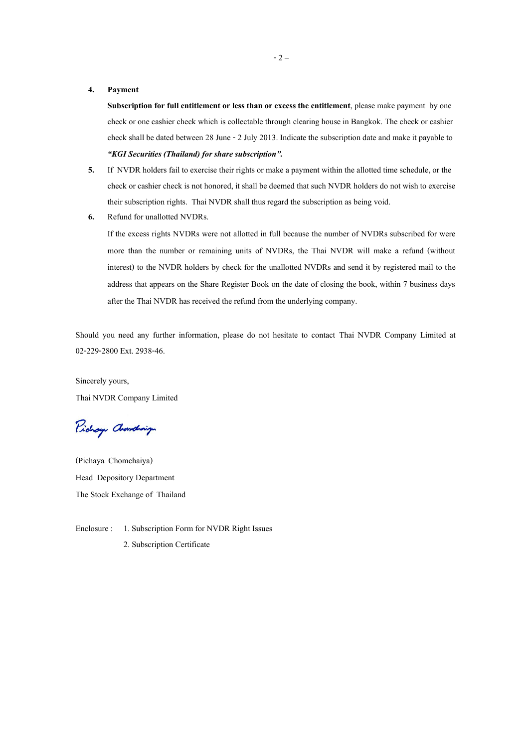#### **4. Payment**

**Subscription for full entitlement or less than or excess the entitlement**, please make payment by one check or one cashier check which is collectable through clearing house in Bangkok. The check or cashier check shall be dated between 28 June -2 July 2013. Indicate the subscription date and make it payable to *"KGI Securities (Thailand) for share subscription".*

- **5.** If NVDR holders fail to exercise their rights or make a payment within the allotted time schedule, or the check or cashier check is not honored, it shall be deemed that such NVDR holders do not wish to exercise their subscription rights. Thai NVDR shall thus regard the subscription as being void.
- **6.** Refund for unallotted NVDRs.

If the excess rights NVDRs were not allotted in full because the number of NVDRs subscribed for were more than the number or remaining units of NVDRs, the Thai NVDR will make a refund (without interest) to the NVDR holders by check for the unallotted NVDRs and send it by registered mail to the address that appears on the Share Register Book on the date of closing the book, within 7 business days after the Thai NVDR has received the refund from the underlying company.

Should you need any further information, please do not hesitate to contact Thai NVDR Company Limited at 02-229-2800 Ext. 2938-46.

Sincerely yours, Thai NVDR Company Limited

Pichay Chamalaign

(Pichaya Chomchaiya) Head Depository Department The Stock Exchange of Thailand

Enclosure : 1. Subscription Form for NVDR Right Issues 2. Subscription Certificate